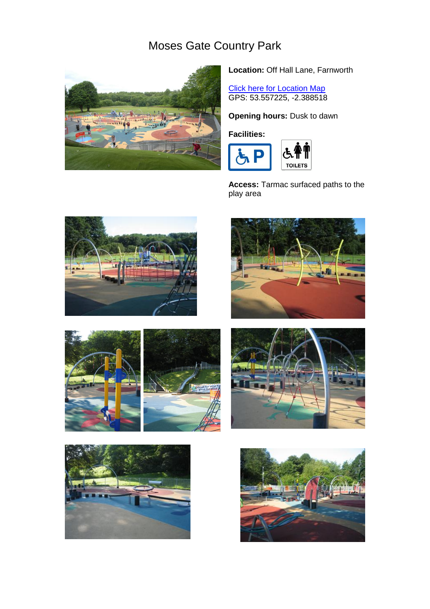## Moses Gate Country Park



**Location:** Off Hall Lane, Farnworth

**[Click here for Location Map](http://maps.google.co.uk/maps?f=q&source=s_q&hl=en&geocode=&q=Hall+Lane,+Farnworth&sll=53.572824,-2.394934&sspn=0.009671,0.019248&g=Long+Lane,+Darcy+Lever&ie=UTF8&hq=&hnear=Hall+Ln,+Farnworth,+Bolton,+Lancashire+BL4,+United+Kingdom&ll=53.560233,-2.395105&s)** GPS: 53.557225, -2.388518

**Opening hours: Dusk to dawn** 

## **Facilities:**



**Access:** Tarmac surfaced paths to the play area